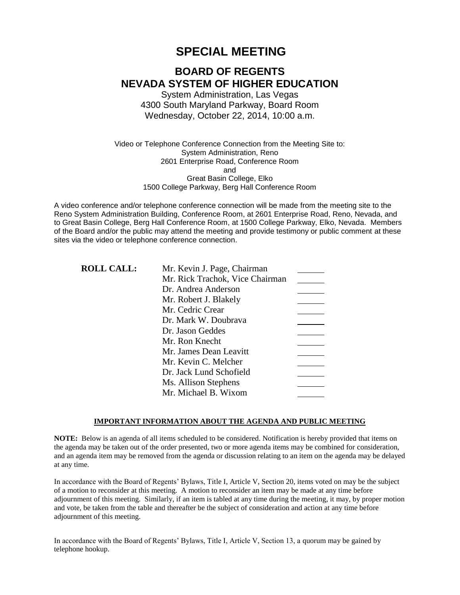# **SPECIAL MEETING**

# **BOARD OF REGENTS NEVADA SYSTEM OF HIGHER EDUCATION**

System Administration, Las Vegas 4300 South Maryland Parkway, Board Room Wednesday, October 22, 2014, 10:00 a.m.

Video or Telephone Conference Connection from the Meeting Site to: System Administration, Reno 2601 Enterprise Road, Conference Room and Great Basin College, Elko 1500 College Parkway, Berg Hall Conference Room

A video conference and/or telephone conference connection will be made from the meeting site to the Reno System Administration Building, Conference Room, at 2601 Enterprise Road, Reno, Nevada, and to Great Basin College, Berg Hall Conference Room, at 1500 College Parkway, Elko, Nevada. Members of the Board and/or the public may attend the meeting and provide testimony or public comment at these sites via the video or telephone conference connection.

| <b>ROLL CALL:</b> | Mr. Kevin J. Page, Chairman     |  |
|-------------------|---------------------------------|--|
|                   | Mr. Rick Trachok, Vice Chairman |  |
|                   | Dr. Andrea Anderson             |  |
|                   | Mr. Robert J. Blakely           |  |
|                   | Mr. Cedric Crear                |  |
|                   | Dr. Mark W. Doubrava            |  |
|                   | Dr. Jason Geddes                |  |
|                   | Mr. Ron Knecht                  |  |
|                   | Mr. James Dean Leavitt          |  |
|                   | Mr. Kevin C. Melcher            |  |
|                   | Dr. Jack Lund Schofield         |  |
|                   | Ms. Allison Stephens            |  |
|                   | Mr. Michael B. Wixom            |  |

### **IMPORTANT INFORMATION ABOUT THE AGENDA AND PUBLIC MEETING**

**NOTE:** Below is an agenda of all items scheduled to be considered. Notification is hereby provided that items on the agenda may be taken out of the order presented, two or more agenda items may be combined for consideration, and an agenda item may be removed from the agenda or discussion relating to an item on the agenda may be delayed at any time.

In accordance with the Board of Regents' Bylaws, Title I, Article V, Section 20, items voted on may be the subject of a motion to reconsider at this meeting. A motion to reconsider an item may be made at any time before adjournment of this meeting. Similarly, if an item is tabled at any time during the meeting, it may, by proper motion and vote, be taken from the table and thereafter be the subject of consideration and action at any time before adjournment of this meeting.

In accordance with the Board of Regents' Bylaws, Title I, Article V, Section 13, a quorum may be gained by telephone hookup.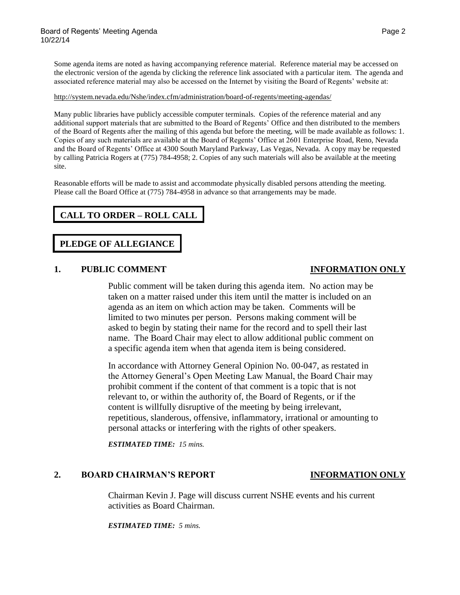Some agenda items are noted as having accompanying reference material. Reference material may be accessed on the electronic version of the agenda by clicking the reference link associated with a particular item. The agenda and associated reference material may also be accessed on the Internet by visiting the Board of Regents' website at:

### <http://system.nevada.edu/Nshe/index.cfm/administration/board-of-regents/meeting-agendas/>

Many public libraries have publicly accessible computer terminals. Copies of the reference material and any additional support materials that are submitted to the Board of Regents' Office and then distributed to the members of the Board of Regents after the mailing of this agenda but before the meeting, will be made available as follows: 1. Copies of any such materials are available at the Board of Regents' Office at 2601 Enterprise Road, Reno, Nevada and the Board of Regents' Office at 4300 South Maryland Parkway, Las Vegas, Nevada. A copy may be requested by calling Patricia Rogers at (775) 784-4958; 2. Copies of any such materials will also be available at the meeting site.

Reasonable efforts will be made to assist and accommodate physically disabled persons attending the meeting. Please call the Board Office at (775) 784-4958 in advance so that arrangements may be made.

# **CALL TO ORDER – ROLL CALL**

### **PLEDGE OF ALLEGIANCE**

### **1. PUBLIC COMMENT INFORMATION ONLY**

Public comment will be taken during this agenda item. No action may be taken on a matter raised under this item until the matter is included on an agenda as an item on which action may be taken. Comments will be limited to two minutes per person. Persons making comment will be asked to begin by stating their name for the record and to spell their last name. The Board Chair may elect to allow additional public comment on a specific agenda item when that agenda item is being considered.

In accordance with Attorney General Opinion No. 00-047, as restated in the Attorney General's Open Meeting Law Manual, the Board Chair may prohibit comment if the content of that comment is a topic that is not relevant to, or within the authority of, the Board of Regents, or if the content is willfully disruptive of the meeting by being irrelevant, repetitious, slanderous, offensive, inflammatory, irrational or amounting to personal attacks or interfering with the rights of other speakers.

*ESTIMATED TIME: 15 mins.*

### **2. BOARD CHAIRMAN'S REPORT INFORMATION ONLY**

Chairman Kevin J. Page will discuss current NSHE events and his current activities as Board Chairman.

*ESTIMATED TIME: 5 mins.*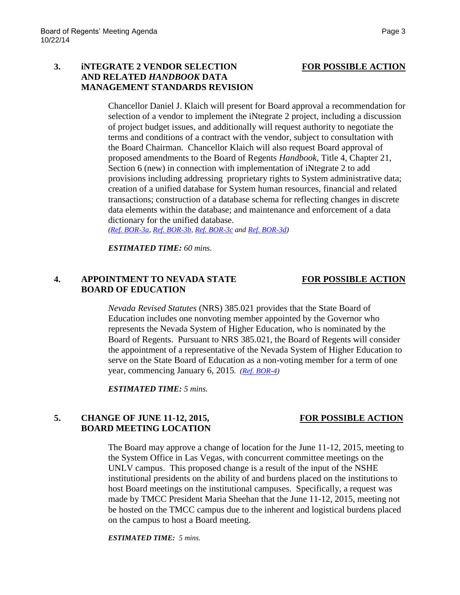## **3. iNTEGRATE 2 VENDOR SELECTION FOR POSSIBLE ACTION AND RELATED** *HANDBOOK* **DATA MANAGEMENT STANDARDS REVISION**

Chancellor Daniel J. Klaich will present for Board approval a recommendation for selection of a vendor to implement the iNtegrate 2 project, including a discussion of project budget issues, and additionally will request authority to negotiate the terms and conditions of a contract with the vendor, subject to consultation with the Board Chairman. Chancellor Klaich will also request Board approval of proposed amendments to the Board of Regents *Handbook,* Title 4, Chapter 21, Section 6 (new) in connection with implementation of iNtegrate 2 to add provisions including addressing proprietary rights to System administrative data; creation of a unified database for System human resources, financial and related transactions; construction of a database schema for reflecting changes in discrete data elements within the database; and maintenance and enforcement of a data dictionary for the unified database.

*[\(Ref. BOR-3a,](http://system.nevada.edu/tasks/sites/Nshe/assets/File/BoardOfRegents/Agendas/2014/oct-mtgs/bor-ref/Ref%203a.pdf) [Ref. BOR-3b,](http://system.nevada.edu/tasks/sites/Nshe/assets/File/BoardOfRegents/Agendas/2014/oct-mtgs/bor-ref/Ref%203b.pdf) [Ref. BOR-3c](http://system.nevada.edu/tasks/sites/Nshe/assets/File/BoardOfRegents/Agendas/2014/oct-mtgs/bor-ref/Ref%203c.pdf) and [Ref. BOR-3d\)](http://system.nevada.edu/tasks/sites/Nshe/assets/File/BoardOfRegents/Agendas/2014/oct-mtgs/bor-ref/Ref%203d.pdf)*

*ESTIMATED TIME: 60 mins.*

## **4. APPOINTMENT TO NEVADA STATE FOR POSSIBLE ACTION BOARD OF EDUCATION**

*Nevada Revised Statutes* (NRS) 385.021 provides that the State Board of Education includes one nonvoting member appointed by the Governor who represents the Nevada System of Higher Education, who is nominated by the Board of Regents. Pursuant to NRS 385.021, the Board of Regents will consider the appointment of a representative of the Nevada System of Higher Education to serve on the State Board of Education as a non-voting member for a term of one year, commencing January 6, 2015*. [\(Ref. BOR-4\)](http://system.nevada.edu/tasks/sites/Nshe/assets/File/BoardOfRegents/Agendas/2014/oct-mtgs/bor-ref/Ref%204.pdf)*

*ESTIMATED TIME: 5 mins.*

## **5. CHANGE OF JUNE 11-12, 2015, FOR POSSIBLE ACTION BOARD MEETING LOCATION**

The Board may approve a change of location for the June 11-12, 2015, meeting to the System Office in Las Vegas, with concurrent committee meetings on the UNLV campus. This proposed change is a result of the input of the NSHE institutional presidents on the ability of and burdens placed on the institutions to host Board meetings on the institutional campuses. Specifically, a request was made by TMCC President Maria Sheehan that the June 11-12, 2015, meeting not be hosted on the TMCC campus due to the inherent and logistical burdens placed on the campus to host a Board meeting.

*ESTIMATED TIME: 5 mins.*